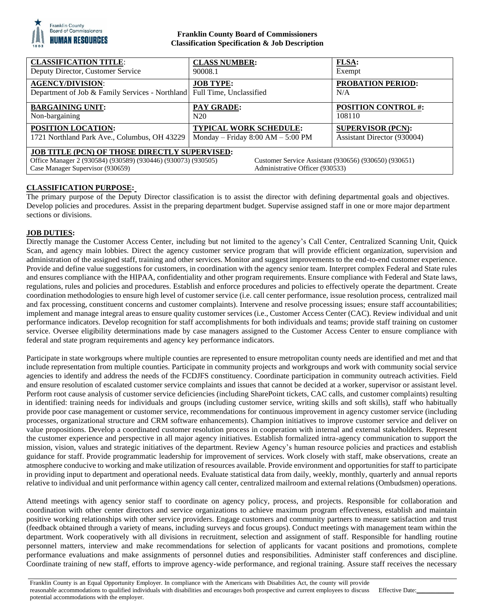

## **Franklin County Board of Commissioners Classification Specification & Job Description**

| <b>CLASSIFICATION TITLE:</b>                                                                                                                                                                                                                          | <b>CLASS NUMBER:</b>                | <b>FLSA:</b>                    |
|-------------------------------------------------------------------------------------------------------------------------------------------------------------------------------------------------------------------------------------------------------|-------------------------------------|---------------------------------|
| Deputy Director, Customer Service                                                                                                                                                                                                                     | 90008.1                             | Exempt                          |
| <b>AGENCY/DIVISION:</b><br>Department of Job & Family Services - Northland Full Time, Unclassified                                                                                                                                                    | <b>JOB TYPE:</b>                    | <b>PROBATION PERIOD:</b><br>N/A |
| <b>BARGAINING UNIT:</b>                                                                                                                                                                                                                               | PAY GRADE:                          | <b>POSITION CONTROL #:</b>      |
| Non-bargaining                                                                                                                                                                                                                                        | N20                                 | 108110                          |
| POSITION LOCATION:                                                                                                                                                                                                                                    | <b>TYPICAL WORK SCHEDULE:</b>       | <b>SUPERVISOR (PCN):</b>        |
| 1721 Northland Park Ave., Columbus, OH 43229                                                                                                                                                                                                          | Monday – Friday $8:00 AM - 5:00 PM$ | Assistant Director (930004)     |
| <b>JOB TITLE (PCN) OF THOSE DIRECTLY SUPERVISED:</b><br>Office Manager 2 (930584) (930589) (930446) (930073) (930505)<br>Customer Service Assistant (930656) (930650) (930651)<br>Case Manager Supervisor (930659)<br>Administrative Officer (930533) |                                     |                                 |

# **CLASSIFICATION PURPOSE:**

The primary purpose of the Deputy Director classification is to assist the director with defining departmental goals and objectives. Develop policies and procedures. Assist in the preparing department budget. Supervise assigned staff in one or more major department sections or divisions.

## **JOB DUTIES:**

Directly manage the Customer Access Center, including but not limited to the agency's Call Center, Centralized Scanning Unit, Quick Scan, and agency main lobbies. Direct the agency customer service program that will provide efficient organization, supervision and administration of the assigned staff, training and other services. Monitor and suggest improvements to the end-to-end customer experience. Provide and define value suggestions for customers, in coordination with the agency senior team. Interpret complex Federal and State rules and ensures compliance with the HIPAA, confidentiality and other program requirements. Ensure compliance with Federal and State laws, regulations, rules and policies and procedures. Establish and enforce procedures and policies to effectively operate the department. Create coordination methodologies to ensure high level of customer service (i.e. call center performance, issue resolution process, centralized mail and fax processing, constituent concerns and customer complaints). Intervene and resolve processing issues; ensure staff accountabilities; implement and manage integral areas to ensure quality customer services (i.e., Customer Access Center (CAC). Review individual and unit performance indicators. Develop recognition for staff accomplishments for both individuals and teams; provide staff training on customer service. Oversee eligibility determinations made by case managers assigned to the Customer Access Center to ensure compliance with federal and state program requirements and agency key performance indicators.

Participate in state workgroups where multiple counties are represented to ensure metropolitan county needs are identified and met and that include representation from multiple counties. Participate in community projects and workgroups and work with community social service agencies to identify and address the needs of the FCDJFS constituency. Coordinate participation in community outreach activities. Field and ensure resolution of escalated customer service complaints and issues that cannot be decided at a worker, supervisor or assistant level. Perform root cause analysis of customer service deficiencies (including SharePoint tickets, CAC calls, and customer complaints) resulting in identified: training needs for individuals and groups (including customer service, writing skills and soft skills), staff who habitually provide poor case management or customer service, recommendations for continuous improvement in agency customer service (including processes, organizational structure and CRM software enhancements). Champion initiatives to improve customer service and deliver on value propositions. Develop a coordinated customer resolution process in cooperation with internal and external stakeholders. Represent the customer experience and perspective in all major agency initiatives. Establish formalized intra-agency communication to support the mission, vision, values and strategic initiatives of the department. Review Agency's human resource policies and practices and establish guidance for staff. Provide programmatic leadership for improvement of services. Work closely with staff, make observations, create an atmosphere conducive to working and make utilization of resources available. Provide environment and opportunities for staff to participate in providing input to department and operational needs. Evaluate statistical data from daily, weekly, monthly, quarterly and annual reports relative to individual and unit performance within agency call center, centralized mailroom and external relations (Ombudsmen) operations.

Attend meetings with agency senior staff to coordinate on agency policy, process, and projects. Responsible for collaboration and coordination with other center directors and service organizations to achieve maximum program effectiveness, establish and maintain positive working relationships with other service providers. Engage customers and community partners to measure satisfaction and trust (feedback obtained through a variety of means, including surveys and focus groups). Conduct meetings with management team within the department. Work cooperatively with all divisions in recruitment, selection and assignment of staff. Responsible for handling routine personnel matters, interview and make recommendations for selection of applicants for vacant positions and promotions, complete performance evaluations and make assignments of personnel duties and responsibilities. Administer staff conferences and discipline. Coordinate training of new staff, efforts to improve agency-wide performance, and regional training. Assure staff receives the necessary